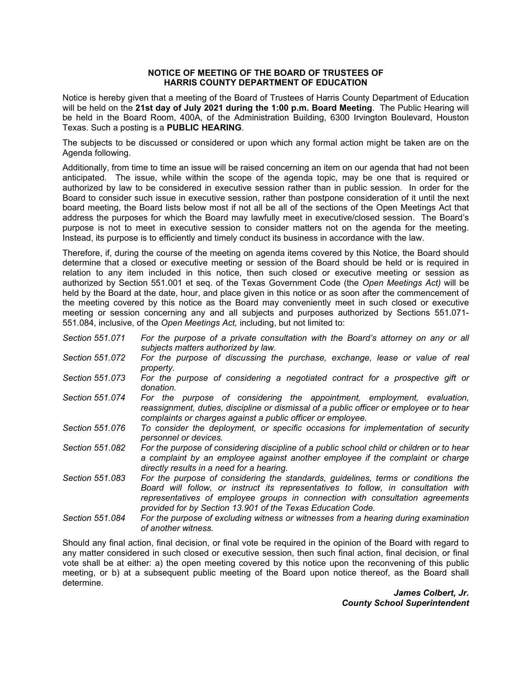## **NOTICE OF MEETING OF THE BOARD OF TRUSTEES OF HARRIS COUNTY DEPARTMENT OF EDUCATION**

 Notice is hereby given that a meeting of the Board of Trustees of Harris County Department of Education  will be held on the **21st day of July 2021 during the 1:00 p.m. Board Meeting**. The Public Hearing will be held in the Board Room, 400A, of the Administration Building, 6300 Irvington Boulevard, Houston Texas. Such a posting is a **PUBLIC HEARING**.

 The subjects to be discussed or considered or upon which any formal action might be taken are on the Agenda following.

 authorized by law to be considered in executive session rather than in public session. In order for the Board to consider such issue in executive session, rather than postpone consideration of it until the next board meeting, the Board lists below most if not all be all of the sections of the Open Meetings Act that address the purposes for which the Board may lawfully meet in executive/closed session. The Board's purpose is not to meet in executive session to consider matters not on the agenda for the meeting. Instead, its purpose is to efficiently and timely conduct its business in accordance with the law. Additionally, from time to time an issue will be raised concerning an item on our agenda that had not been anticipated. The issue, while within the scope of the agenda topic, may be one that is required or

 relation to any item included in this notice, then such closed or executive meeting or session as authorized by Section 551.001 et seq. of the Texas Government Code (the *Open Meetings Act)* will be 551.084, inclusive, of the *Open Meetings Act,* including, but not limited to: Therefore, if, during the course of the meeting on agenda items covered by this Notice, the Board should determine that a closed or executive meeting or session of the Board should be held or is required in held by the Board at the date, hour, and place given in this notice or as soon after the commencement of the meeting covered by this notice as the Board may conveniently meet in such closed or executive meeting or session concerning any and all subjects and purposes authorized by Sections 551.071-

- *Section 551.071 For the purpose of a private consultation with the Board's attorney on any or all subjects matters authorized by law.*
- *Section 551.072 For the purpose of discussing the purchase, exchange, lease or value of real property.*
- *Section 551.073 For the purpose of considering a negotiated contract for a prospective gift or donation.*
- *Section 551.074 For the purpose of considering the appointment, employment, evaluation, reassignment, duties, discipline or dismissal of a public officer or employee or to hear complaints or charges against a public officer or employee.*
- *Section 551.076 To consider the deployment, or specific occasions for implementation of security personnel or devices.*
- *a complaint by an employee against another employee if the complaint or charge Section 551.082 For the purpose of considering discipline of a public school child or children or to hear directly results in a need for a hearing.*
- *representatives of employee groups in connection with consultation agreements Section 551.083 For the purpose of considering the standards, guidelines, terms or conditions the Board will follow, or instruct its representatives to follow, in consultation with provided for by Section 13.901 of the Texas Education Code.*
- *Section 551.084 For the purpose of excluding witness or witnesses from a hearing during examination of another witness.*

 Should any final action, final decision, or final vote be required in the opinion of the Board with regard to any matter considered in such closed or executive session, then such final action, final decision, or final vote shall be at either: a) the open meeting covered by this notice upon the reconvening of this public meeting, or b) at a subsequent public meeting of the Board upon notice thereof, as the Board shall determine.

*James Colbert, Jr. County School Superintendent*